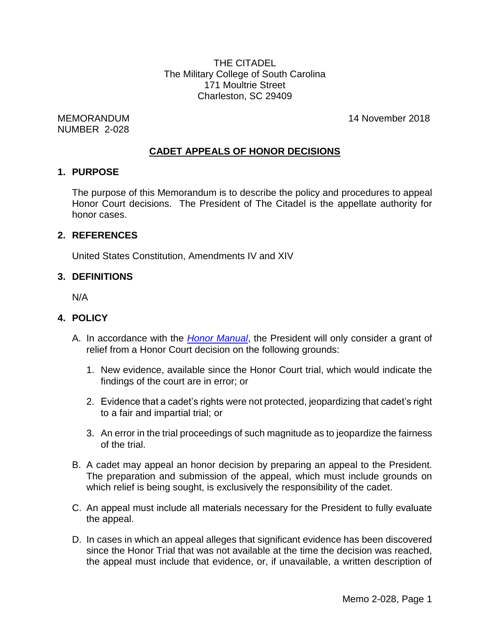THE CITADEL The Military College of South Carolina 171 Moultrie Street Charleston, SC 29409

NUMBER 2-028

MEMORANDUM 14 November 2018

## **CADET APPEALS OF HONOR DECISIONS**

#### **1. PURPOSE**

The purpose of this Memorandum is to describe the policy and procedures to appeal Honor Court decisions. The President of The Citadel is the appellate authority for honor cases.

#### **2. REFERENCES**

United States Constitution, Amendments IV and XIV

#### **3. DEFINITIONS**

N/A

#### **4. POLICY**

- A. In accordance with the *[Honor Manual](http://www.citadel.edu/root/images/krause_center/honor/honormanual.pdf)*, the President will only consider a grant of relief from a Honor Court decision on the following grounds:
	- 1. New evidence, available since the Honor Court trial, which would indicate the findings of the court are in error; or
	- 2. Evidence that a cadet's rights were not protected, jeopardizing that cadet's right to a fair and impartial trial; or
	- 3. An error in the trial proceedings of such magnitude as to jeopardize the fairness of the trial.
- B. A cadet may appeal an honor decision by preparing an appeal to the President. The preparation and submission of the appeal, which must include grounds on which relief is being sought, is exclusively the responsibility of the cadet.
- C. An appeal must include all materials necessary for the President to fully evaluate the appeal.
- D. In cases in which an appeal alleges that significant evidence has been discovered since the Honor Trial that was not available at the time the decision was reached, the appeal must include that evidence, or, if unavailable, a written description of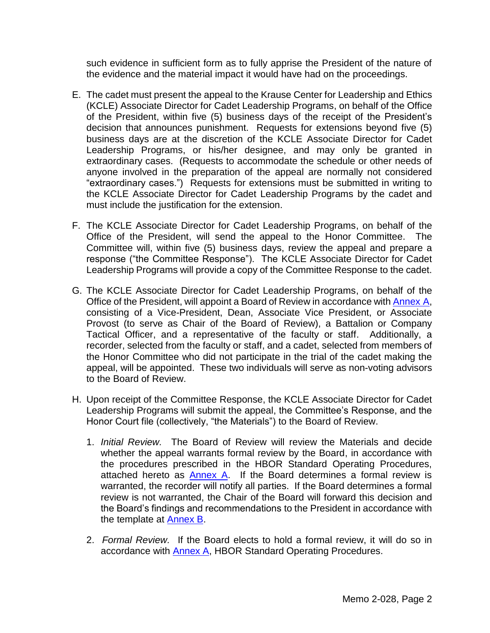such evidence in sufficient form as to fully apprise the President of the nature of the evidence and the material impact it would have had on the proceedings.

- E. The cadet must present the appeal to the Krause Center for Leadership and Ethics (KCLE) Associate Director for Cadet Leadership Programs, on behalf of the Office of the President, within five (5) business days of the receipt of the President's decision that announces punishment. Requests for extensions beyond five (5) business days are at the discretion of the KCLE Associate Director for Cadet Leadership Programs, or his/her designee, and may only be granted in extraordinary cases. (Requests to accommodate the schedule or other needs of anyone involved in the preparation of the appeal are normally not considered "extraordinary cases.") Requests for extensions must be submitted in writing to the KCLE Associate Director for Cadet Leadership Programs by the cadet and must include the justification for the extension.
- F. The KCLE Associate Director for Cadet Leadership Programs, on behalf of the Office of the President, will send the appeal to the Honor Committee. The Committee will, within five (5) business days, review the appeal and prepare a response ("the Committee Response"). The KCLE Associate Director for Cadet Leadership Programs will provide a copy of the Committee Response to the cadet.
- G. The KCLE Associate Director for Cadet Leadership Programs, on behalf of the Office of the President, will appoint a Board of Review in accordance with [Annex](#page-4-0) A, consisting of a Vice-President, Dean, Associate Vice President, or Associate Provost (to serve as Chair of the Board of Review), a Battalion or Company Tactical Officer, and a representative of the faculty or staff. Additionally, a recorder, selected from the faculty or staff, and a cadet, selected from members of the Honor Committee who did not participate in the trial of the cadet making the appeal, will be appointed. These two individuals will serve as non-voting advisors to the Board of Review.
- H. Upon receipt of the Committee Response, the KCLE Associate Director for Cadet Leadership Programs will submit the appeal, the Committee's Response, and the Honor Court file (collectively, "the Materials") to the Board of Review.
	- 1. *Initial Review.* The Board of Review will review the Materials and decide whether the appeal warrants formal review by the Board, in accordance with the procedures prescribed in the HBOR Standard Operating Procedures, attached hereto as [Annex A.](#page-4-0) If the Board determines a formal review is warranted, the recorder will notify all parties. If the Board determines a formal review is not warranted, the Chair of the Board will forward this decision and the Board's findings and recommendations to the President in accordance with the template at [Annex B.](#page-9-0)
	- 2. *Formal Review.* If the Board elects to hold a formal review, it will do so in accordance with [Annex A,](#page-4-0) HBOR Standard Operating Procedures.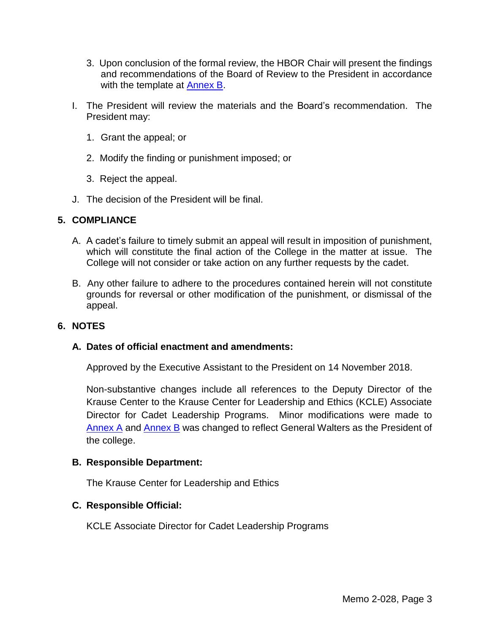- 3. Upon conclusion of the formal review, the HBOR Chair will present the findings and recommendations of the Board of Review to the President in accordance with the template at [Annex B.](#page-9-0)
- I. The President will review the materials and the Board's recommendation. The President may:
	- 1. Grant the appeal; or
	- 2. Modify the finding or punishment imposed; or
	- 3. Reject the appeal.
- J. The decision of the President will be final.

## **5. COMPLIANCE**

- A. A cadet's failure to timely submit an appeal will result in imposition of punishment, which will constitute the final action of the College in the matter at issue. The College will not consider or take action on any further requests by the cadet.
- B. Any other failure to adhere to the procedures contained herein will not constitute grounds for reversal or other modification of the punishment, or dismissal of the appeal.

## **6. NOTES**

### **A. Dates of official enactment and amendments:**

Approved by the Executive Assistant to the President on 14 November 2018.

Non-substantive changes include all references to the Deputy Director of the Krause Center to the Krause Center for Leadership and Ethics (KCLE) Associate Director for Cadet Leadership Programs. Minor modifications were made to [Annex](#page-4-0) A and [Annex B](#page-9-0) was changed to reflect General Walters as the President of the college.

### **B. Responsible Department:**

The Krause Center for Leadership and Ethics

## **C. Responsible Official:**

KCLE Associate Director for Cadet Leadership Programs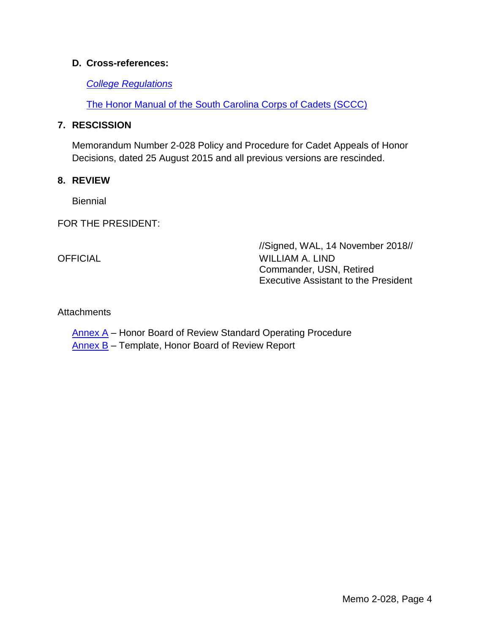### **D. Cross-references:**

### *[College Regulations](http://www.citadel.edu/root/images/policies/college-regulations.pdf)*

[The Honor Manual of the South Carolina Corps of Cadets](http://www.citadel.edu/root/images/krause_center/honor/honormanual.pdf) (SCCC)

### **7. RESCISSION**

Memorandum Number 2-028 Policy and Procedure for Cadet Appeals of Honor Decisions, dated 25 August 2015 and all previous versions are rescinded.

### **8. REVIEW**

**Biennial** 

FOR THE PRESIDENT:

//Signed, WAL, 14 November 2018// OFFICIAL WILLIAM A. LIND Commander, USN, Retired Executive Assistant to the President

## **Attachments**

[Annex A](#page-4-0) - Honor Board of Review Standard Operating Procedure

[Annex B](#page-9-0) - Template, Honor Board of Review Report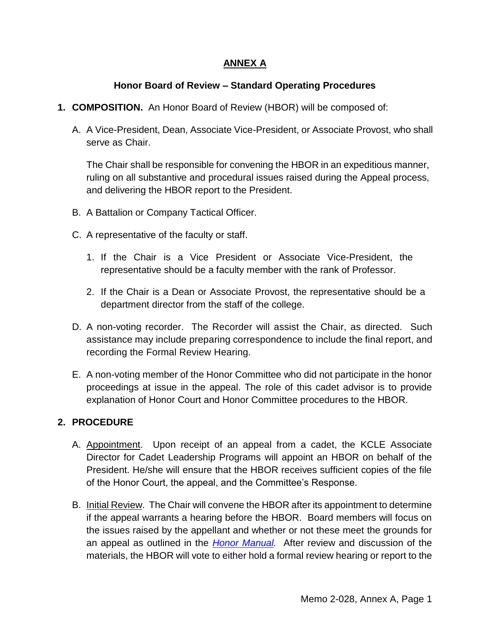# **ANNEX A**

# **Honor Board of Review – Standard Operating Procedures**

- <span id="page-4-0"></span>**1. COMPOSITION.** An Honor Board of Review (HBOR) will be composed of:
	- A. A Vice-President, Dean, Associate Vice-President, or Associate Provost, who shall serve as Chair.

The Chair shall be responsible for convening the HBOR in an expeditious manner, ruling on all substantive and procedural issues raised during the Appeal process, and delivering the HBOR report to the President.

- B. A Battalion or Company Tactical Officer.
- C. A representative of the faculty or staff.
	- 1. If the Chair is a Vice President or Associate Vice-President, the representative should be a faculty member with the rank of Professor.
	- 2. If the Chair is a Dean or Associate Provost, the representative should be a department director from the staff of the college.
- D. A non-voting recorder. The Recorder will assist the Chair, as directed. Such assistance may include preparing correspondence to include the final report, and recording the Formal Review Hearing.
- E. A non-voting member of the Honor Committee who did not participate in the honor proceedings at issue in the appeal. The role of this cadet advisor is to provide explanation of Honor Court and Honor Committee procedures to the HBOR.

# **2. PROCEDURE**

- A. Appointment. Upon receipt of an appeal from a cadet, the KCLE Associate Director for Cadet Leadership Programs will appoint an HBOR on behalf of the President. He/she will ensure that the HBOR receives sufficient copies of the file of the Honor Court, the appeal, and the Committee's Response.
- B. Initial Review. The Chair will convene the HBOR after its appointment to determine if the appeal warrants a hearing before the HBOR. Board members will focus on the issues raised by the appellant and whether or not these meet the grounds for an appeal as outlined in the *[Honor Manual.](http://www.citadel.edu/root/images/krause_center/honor/honormanual.pdf)* After review and discussion of the materials, the HBOR will vote to either hold a formal review hearing or report to the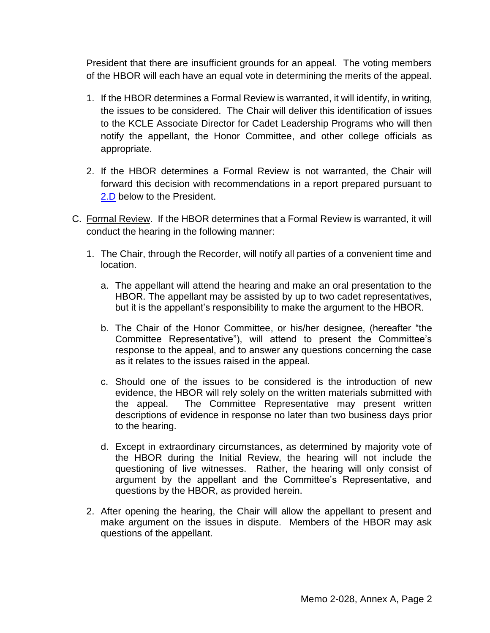President that there are insufficient grounds for an appeal. The voting members of the HBOR will each have an equal vote in determining the merits of the appeal.

- 1. If the HBOR determines a Formal Review is warranted, it will identify, in writing, the issues to be considered. The Chair will deliver this identification of issues to the KCLE Associate Director for Cadet Leadership Programs who will then notify the appellant, the Honor Committee, and other college officials as appropriate.
- 2. If the HBOR determines a Formal Review is not warranted, the Chair will forward this decision with recommendations in a report prepared pursuant to [2.D](#page-6-0) below to the President.
- C. Formal Review. If the HBOR determines that a Formal Review is warranted, it will conduct the hearing in the following manner:
	- 1. The Chair, through the Recorder, will notify all parties of a convenient time and location.
		- a. The appellant will attend the hearing and make an oral presentation to the HBOR. The appellant may be assisted by up to two cadet representatives, but it is the appellant's responsibility to make the argument to the HBOR.
		- b. The Chair of the Honor Committee, or his/her designee, (hereafter "the Committee Representative"), will attend to present the Committee's response to the appeal, and to answer any questions concerning the case as it relates to the issues raised in the appeal.
		- c. Should one of the issues to be considered is the introduction of new evidence, the HBOR will rely solely on the written materials submitted with the appeal. The Committee Representative may present written descriptions of evidence in response no later than two business days prior to the hearing.
		- d. Except in extraordinary circumstances, as determined by majority vote of the HBOR during the Initial Review, the hearing will not include the questioning of live witnesses. Rather, the hearing will only consist of argument by the appellant and the Committee's Representative, and questions by the HBOR, as provided herein.
	- 2. After opening the hearing, the Chair will allow the appellant to present and make argument on the issues in dispute. Members of the HBOR may ask questions of the appellant.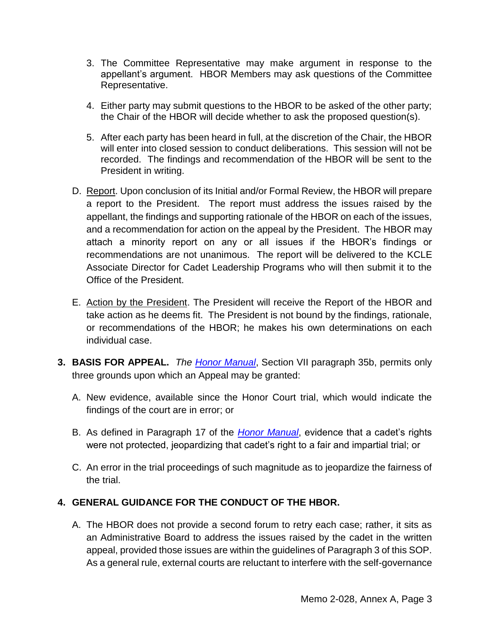- 3. The Committee Representative may make argument in response to the appellant's argument. HBOR Members may ask questions of the Committee Representative.
- 4. Either party may submit questions to the HBOR to be asked of the other party; the Chair of the HBOR will decide whether to ask the proposed question(s).
- 5. After each party has been heard in full, at the discretion of the Chair, the HBOR will enter into closed session to conduct deliberations. This session will not be recorded. The findings and recommendation of the HBOR will be sent to the President in writing.
- <span id="page-6-0"></span>D. Report. Upon conclusion of its Initial and/or Formal Review, the HBOR will prepare a report to the President. The report must address the issues raised by the appellant, the findings and supporting rationale of the HBOR on each of the issues, and a recommendation for action on the appeal by the President. The HBOR may attach a minority report on any or all issues if the HBOR's findings or recommendations are not unanimous. The report will be delivered to the KCLE Associate Director for Cadet Leadership Programs who will then submit it to the Office of the President.
- E. Action by the President. The President will receive the Report of the HBOR and take action as he deems fit. The President is not bound by the findings, rationale, or recommendations of the HBOR; he makes his own determinations on each individual case.
- **3. BASIS FOR APPEAL.** *The [Honor Manual](http://www.citadel.edu/root/images/krause_center/honor/honormanual.pdf)*, Section VII paragraph 35b, permits only three grounds upon which an Appeal may be granted:
	- A. New evidence, available since the Honor Court trial, which would indicate the findings of the court are in error; or
	- B. As defined in Paragraph 17 of the *[Honor Manual](http://www.citadel.edu/root/images/krause_center/honor/honormanual.pdf)*, evidence that a cadet's rights were not protected, jeopardizing that cadet's right to a fair and impartial trial; or
	- C. An error in the trial proceedings of such magnitude as to jeopardize the fairness of the trial.

# **4. GENERAL GUIDANCE FOR THE CONDUCT OF THE HBOR.**

A. The HBOR does not provide a second forum to retry each case; rather, it sits as an Administrative Board to address the issues raised by the cadet in the written appeal, provided those issues are within the guidelines of Paragraph 3 of this SOP. As a general rule, external courts are reluctant to interfere with the self-governance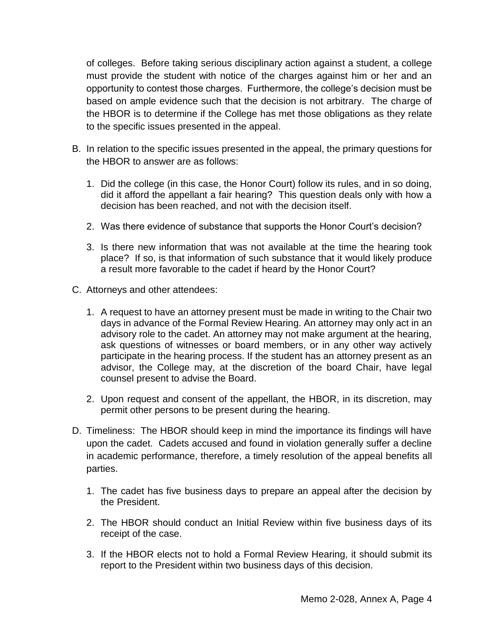of colleges. Before taking serious disciplinary action against a student, a college must provide the student with notice of the charges against him or her and an opportunity to contest those charges. Furthermore, the college's decision must be based on ample evidence such that the decision is not arbitrary. The charge of the HBOR is to determine if the College has met those obligations as they relate to the specific issues presented in the appeal.

- B. In relation to the specific issues presented in the appeal, the primary questions for the HBOR to answer are as follows:
	- 1. Did the college (in this case, the Honor Court) follow its rules, and in so doing, did it afford the appellant a fair hearing? This question deals only with how a decision has been reached, and not with the decision itself.
	- 2. Was there evidence of substance that supports the Honor Court's decision?
	- 3. Is there new information that was not available at the time the hearing took place? If so, is that information of such substance that it would likely produce a result more favorable to the cadet if heard by the Honor Court?
- C. Attorneys and other attendees:
	- 1. A request to have an attorney present must be made in writing to the Chair two days in advance of the Formal Review Hearing. An attorney may only act in an advisory role to the cadet. An attorney may not make argument at the hearing, ask questions of witnesses or board members, or in any other way actively participate in the hearing process. If the student has an attorney present as an advisor, the College may, at the discretion of the board Chair, have legal counsel present to advise the Board.
	- 2. Upon request and consent of the appellant, the HBOR, in its discretion, may permit other persons to be present during the hearing.
- D. Timeliness: The HBOR should keep in mind the importance its findings will have upon the cadet. Cadets accused and found in violation generally suffer a decline in academic performance, therefore, a timely resolution of the appeal benefits all parties.
	- 1. The cadet has five business days to prepare an appeal after the decision by the President.
	- 2. The HBOR should conduct an Initial Review within five business days of its receipt of the case.
	- 3. If the HBOR elects not to hold a Formal Review Hearing, it should submit its report to the President within two business days of this decision.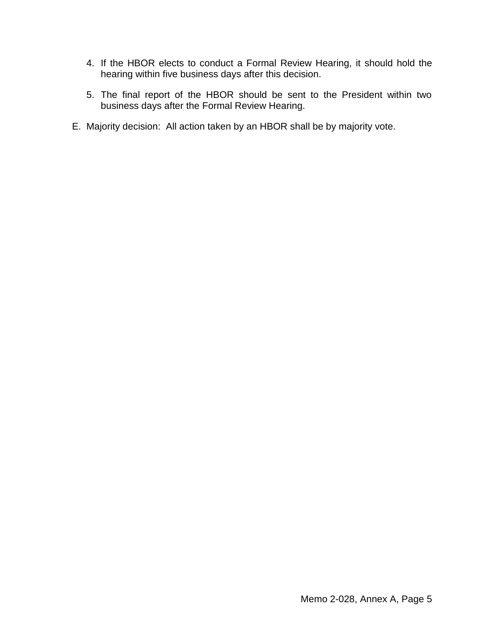- 4. If the HBOR elects to conduct a Formal Review Hearing, it should hold the hearing within five business days after this decision.
- 5. The final report of the HBOR should be sent to the President within two business days after the Formal Review Hearing.
- E. Majority decision: All action taken by an HBOR shall be by majority vote.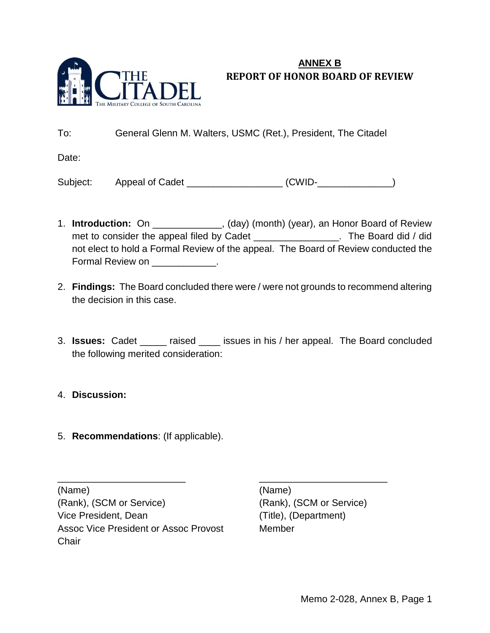

# <span id="page-9-0"></span>**ANNEX B REPORT OF HONOR BOARD OF REVIEW**

To: General Glenn M. Walters, USMC (Ret.), President, The Citadel

Date:

Subject: Appeal of Cadet \_\_\_\_\_\_\_\_\_\_\_\_\_\_\_\_\_\_ (CWID-\_\_\_\_\_\_\_\_\_\_\_\_\_\_)

- 1. **Introduction:** On \_\_\_\_\_\_\_\_\_\_\_\_\_, (day) (month) (year), an Honor Board of Review met to consider the appeal filed by Cadet \_\_\_\_\_\_\_\_\_\_\_\_\_\_\_\_\_. The Board did / did not elect to hold a Formal Review of the appeal. The Board of Review conducted the Formal Review on \_\_\_\_\_\_\_\_\_\_\_\_.
- 2. **Findings:** The Board concluded there were / were not grounds to recommend altering the decision in this case.
- 3. **Issues:** Cadet \_\_\_\_\_ raised \_\_\_\_ issues in his / her appeal. The Board concluded the following merited consideration:

\_\_\_\_\_\_\_\_\_\_\_\_\_\_\_\_\_\_\_\_\_\_\_\_ \_\_\_\_\_\_\_\_\_\_\_\_\_\_\_\_\_\_\_\_\_\_\_\_

## 4. **Discussion:**

5. **Recommendations**: (If applicable).

(Name) (Name) (Rank), (SCM or Service) (Rank), (SCM or Service) Vice President, Dean (Title), (Department) Assoc Vice President or Assoc Provost Member **Chair**